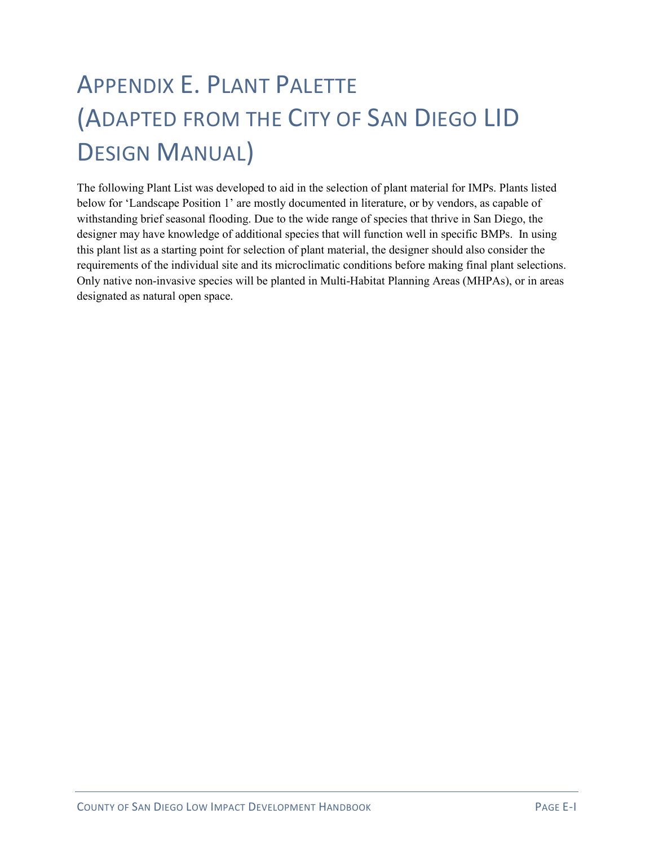## **APPENDIX E. PLANT PALETTE** (ADAPTED FROM THE CITY OF SAN DIEGO LID DESIGN MANUAL)

The following Plant List was developed to aid in the selection of plant material for IMPs. Plants listed below for 'Landscape Position 1' are mostly documented in literature, or by vendors, as capable of withstanding brief seasonal flooding. Due to the wide range of species that thrive in San Diego, the designer may have knowledge of additional species that will function well in specific BMPs. In using this plant list as a starting point for selection of plant material, the designer should also consider the requirements of the individual site and its microclimatic conditions before making final plant selections. Only native non-invasive species will be planted in Multi-Habitat Planning Areas (MHPAs), or in areas designated as natural open space.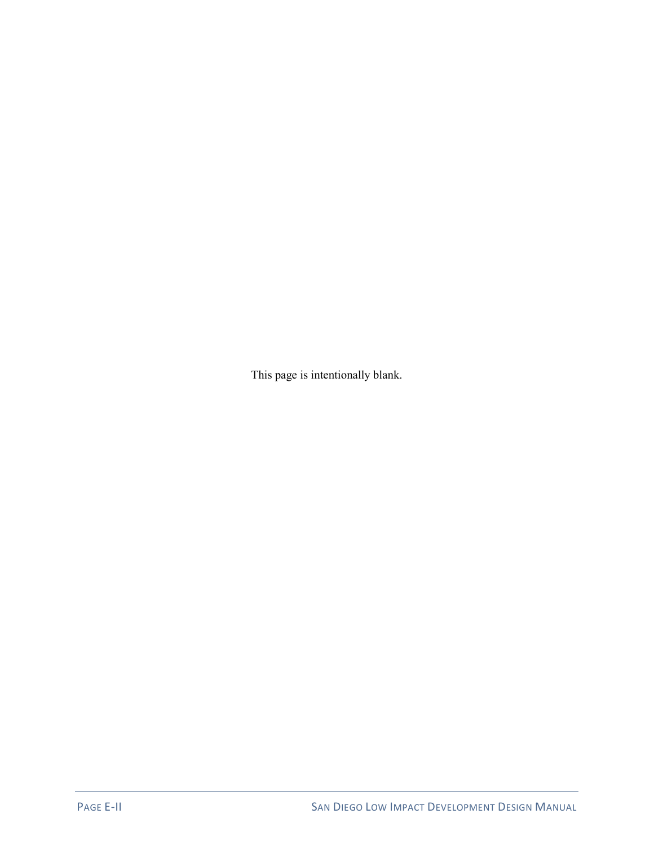This page is intentionally blank.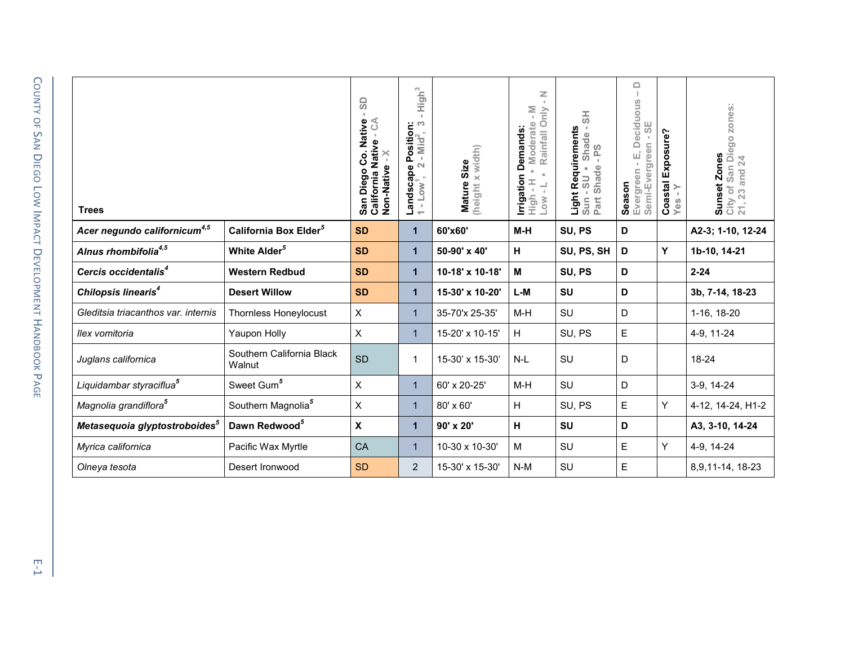| <b>Trees</b>                              |                                     | င္တ<br>Native<br>ve - CA<br> San Diego Co. <sub>Ive.</sub><br>  California Native -<br><sup>-</sup> | High <sup>3</sup><br>$\infty$<br>Position:<br>$2 - Mid^2$ , 3<br>$\sim$<br>Landscape $1 -$ Low $\frac{1}{2}$ | x width)<br>Mature Size<br>(height: | z<br>Ξ<br>Only<br>$\mathbb{R}^2$<br>Moderate<br>Rainfall Or<br><b>Irrigation Demands:</b><br>$\bar{a}$<br>$\bar{a}$<br>족<br>┙<br>$\mathbb{R}^2$<br>High<br>Low | $\frac{1}{5}$<br>Light Requirements<br>Sun - SU = Shade -<br>9S<br>P<br>÷.<br>Part Shade | $\Box$<br><b>Deciduous</b><br>Ш<br>$\overline{v}$<br>Semi-Evergreen<br>шĵ<br>$\mathbb{R}$<br>Season<br>Evergreen - | Exposure?<br>$\frac{1}{\sqrt{65 - \gamma}}$ | zones:<br>Sunset Zones<br>City of San Diego z<br>21, 23 and 24 |
|-------------------------------------------|-------------------------------------|-----------------------------------------------------------------------------------------------------|--------------------------------------------------------------------------------------------------------------|-------------------------------------|----------------------------------------------------------------------------------------------------------------------------------------------------------------|------------------------------------------------------------------------------------------|--------------------------------------------------------------------------------------------------------------------|---------------------------------------------|----------------------------------------------------------------|
| Acer negundo californicum <sup>4,5</sup>  | California Box Elder <sup>5</sup>   | <b>SD</b>                                                                                           | $\mathbf 1$                                                                                                  | 60'x60'                             | M-H                                                                                                                                                            | SU, PS                                                                                   | D                                                                                                                  |                                             | A2-3; 1-10, 12-24                                              |
| Alnus rhombifolia4,5                      | White Alder <sup>5</sup>            | <b>SD</b>                                                                                           | $\mathbf 1$                                                                                                  | 50-90' x 40'                        | н                                                                                                                                                              | SU, PS, SH                                                                               | D                                                                                                                  | Y                                           | 1b-10, 14-21                                                   |
| Cercis occidentalis <sup>4</sup>          | <b>Western Redbud</b>               | <b>SD</b>                                                                                           | $\mathbf 1$                                                                                                  | 10-18' x 10-18'                     | M                                                                                                                                                              | SU, PS                                                                                   | D                                                                                                                  |                                             | $2 - 24$                                                       |
| Chilopsis linearis <sup>4</sup>           | <b>Desert Willow</b>                | <b>SD</b>                                                                                           | $\mathbf 1$                                                                                                  | 15-30' x 10-20'                     | L-M                                                                                                                                                            | <b>SU</b>                                                                                | D                                                                                                                  |                                             | 3b, 7-14, 18-23                                                |
| Gleditsia triacanthos var. internis       | Thornless Honeylocust               | $\pmb{\times}$                                                                                      | 1                                                                                                            | 35-70'x 25-35'                      | $M-H$                                                                                                                                                          | SU                                                                                       | D                                                                                                                  |                                             | 1-16, 18-20                                                    |
| Ilex vomitoria                            | Yaupon Holly                        | $\pmb{\times}$                                                                                      | 1                                                                                                            | 15-20' x 10-15'                     | H                                                                                                                                                              | SU, PS                                                                                   | E                                                                                                                  |                                             | 4-9, 11-24                                                     |
| Juglans californica                       | Southern California Black<br>Walnut | <b>SD</b>                                                                                           | 1                                                                                                            | 15-30' x 15-30'                     | N-L                                                                                                                                                            | SU                                                                                       | D                                                                                                                  |                                             | 18-24                                                          |
| Liquidambar styraciflua <sup>5</sup>      | Sweet Gum <sup>5</sup>              | X                                                                                                   | 1                                                                                                            | 60' x 20-25'                        | $M-H$                                                                                                                                                          | SU                                                                                       | D                                                                                                                  |                                             | 3-9, 14-24                                                     |
| Magnolia grandiflora <sup>5</sup>         | Southern Magnolia <sup>5</sup>      | $\pmb{\times}$                                                                                      | 1                                                                                                            | 80' x 60'                           | H                                                                                                                                                              | SU, PS                                                                                   | E                                                                                                                  | Y                                           | 4-12, 14-24, H1-2                                              |
| Metasequoia glyptostroboides <sup>3</sup> | Dawn Redwood <sup>5</sup>           | $\boldsymbol{\mathsf{X}}$                                                                           | $\mathbf 1$                                                                                                  | 90' x 20'                           | H                                                                                                                                                              | SU                                                                                       | D                                                                                                                  |                                             | A3, 3-10, 14-24                                                |
| Myrica californica                        | Pacific Wax Myrtle                  | CA                                                                                                  | 1                                                                                                            | 10-30 x 10-30'                      | M                                                                                                                                                              | SU                                                                                       | E                                                                                                                  | Y                                           | 4-9, 14-24                                                     |
| Olneya tesota                             | Desert Ironwood                     | <b>SD</b>                                                                                           | $\overline{2}$                                                                                               | 15-30' x 15-30'                     | $N-M$                                                                                                                                                          | SU                                                                                       | E                                                                                                                  |                                             | 8,9,11-14, 18-23                                               |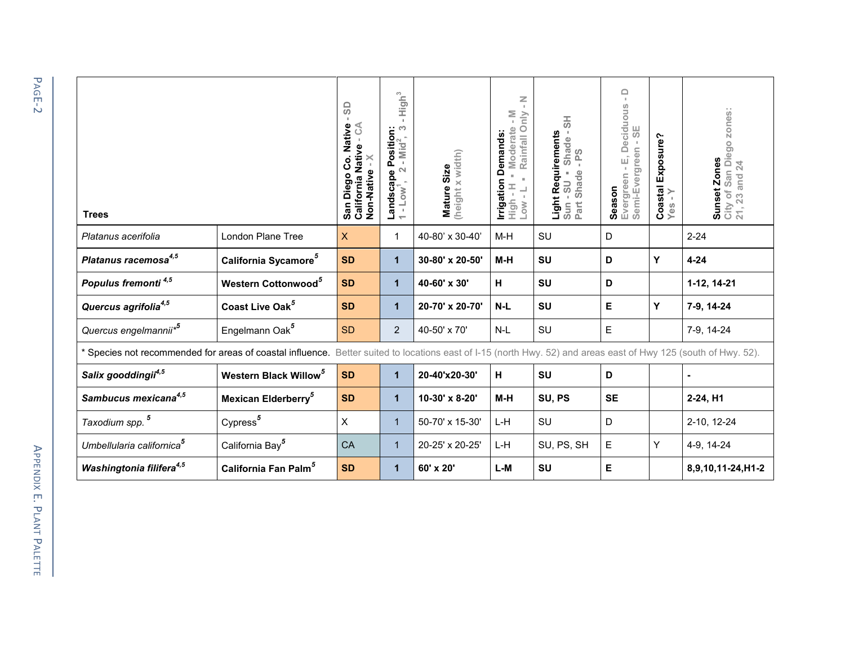| <b>Trees</b>                                                                                                                                                    |                                          | <u>င</u> ္ဘ<br>San Diego Co. Native -<br>California Native - CA<br>Non-Native - X | High <sup>3</sup><br>$\mathbf{r}$<br>$\infty$<br>Landscape Position:<br>1 - Low , 2 - Mid $^2$ 3<br>$-Mid2$ ,<br>$\overline{\mathsf{N}}$<br>$-Low^1$ , | Mature Size<br>(height x width) | $\frac{2}{1}$<br>$\ge$<br>Rainfall Only<br>Moderate<br><b>Irrigation Demands:</b><br>×.<br>족<br>$\frac{1}{1}$<br>High<br>Low. | $\frac{1}{5}$<br>Light Requirements<br>Sun - SU = Shade - S<br>Part Shade - PS | $\Box$<br>$\mathbb{I}$<br>Deciduous<br>$rac{1}{\sqrt{2}}$<br>Season<br>Evergreen - E, De<br>Semi-Evergreen - | Exposure?<br>$\frac{1}{2}$ Coastall | Sunset Zones<br>City of San Diego zones:<br>21, 23 and 24 |
|-----------------------------------------------------------------------------------------------------------------------------------------------------------------|------------------------------------------|-----------------------------------------------------------------------------------|--------------------------------------------------------------------------------------------------------------------------------------------------------|---------------------------------|-------------------------------------------------------------------------------------------------------------------------------|--------------------------------------------------------------------------------|--------------------------------------------------------------------------------------------------------------|-------------------------------------|-----------------------------------------------------------|
| Platanus acerifolia                                                                                                                                             | London Plane Tree                        | X                                                                                 | 1                                                                                                                                                      | 40-80' x 30-40'                 | M-H                                                                                                                           | SU                                                                             | D                                                                                                            |                                     | $2 - 24$                                                  |
| Platanus racemosa <sup>4,5</sup>                                                                                                                                | California Sycamore <sup>5</sup>         | <b>SD</b>                                                                         | $\mathbf{1}$                                                                                                                                           | 30-80' x 20-50'                 | M-H                                                                                                                           | SU                                                                             | D                                                                                                            | Y                                   | $4 - 24$                                                  |
| Populus fremonti <sup>4,5</sup>                                                                                                                                 | <b>Western Cottonwood</b> <sup>5</sup>   | <b>SD</b>                                                                         | $\mathbf{1}$                                                                                                                                           | 40-60' x 30'                    | н                                                                                                                             | <b>SU</b>                                                                      | D                                                                                                            |                                     | 1-12, 14-21                                               |
| Quercus agrifolia4,5                                                                                                                                            | Coast Live Oak <sup>5</sup>              | <b>SD</b>                                                                         | $\mathbf{1}$                                                                                                                                           | 20-70' x 20-70'                 | $N-L$                                                                                                                         | SU                                                                             | Е                                                                                                            | Υ                                   | 7-9, 14-24                                                |
| Quercus engelmannii* <sup>5</sup>                                                                                                                               | Engelmann Oak <sup>5</sup>               | <b>SD</b>                                                                         | $\overline{2}$                                                                                                                                         | 40-50' x 70'                    | $N-L$                                                                                                                         | SU                                                                             | E                                                                                                            |                                     | 7-9, 14-24                                                |
| * Species not recommended for areas of coastal influence. Better suited to locations east of I-15 (north Hwy. 52) and areas east of Hwy 125 (south of Hwy. 52). |                                          |                                                                                   |                                                                                                                                                        |                                 |                                                                                                                               |                                                                                |                                                                                                              |                                     |                                                           |
| Salix gooddingii <sup>4,5</sup>                                                                                                                                 | <b>Western Black Willow</b> <sup>5</sup> | <b>SD</b>                                                                         | $\mathbf{1}$                                                                                                                                           | 20-40'x20-30'                   | н                                                                                                                             | SU                                                                             | D                                                                                                            |                                     |                                                           |
| Sambucus mexicana <sup>4,5</sup>                                                                                                                                | Mexican Elderberry <sup>5</sup>          | <b>SD</b>                                                                         | 1                                                                                                                                                      | 10-30' x 8-20'                  | $M-H$                                                                                                                         | SU, PS                                                                         | <b>SE</b>                                                                                                    |                                     | 2-24, H1                                                  |
| Taxodium spp. <sup>5</sup>                                                                                                                                      | Cypress <sup>5</sup>                     | $\pmb{\times}$                                                                    | $\mathbf{1}$                                                                                                                                           | 50-70' x 15-30'                 | L-H                                                                                                                           | SU                                                                             | D                                                                                                            |                                     | 2-10, 12-24                                               |
| Umbellularia californica <sup>5</sup>                                                                                                                           | California Bay <sup>5</sup>              | CA                                                                                | $\mathbf{1}$                                                                                                                                           | 20-25' x 20-25'                 | L-H                                                                                                                           | SU, PS, SH                                                                     | E                                                                                                            | Y                                   | 4-9, 14-24                                                |
| Washingtonia filifera <sup>4,5</sup>                                                                                                                            | California Fan Palm <sup>5</sup>         | <b>SD</b>                                                                         | $\mathbf{1}$                                                                                                                                           | 60' x 20'                       | L-M                                                                                                                           | SU                                                                             | E                                                                                                            |                                     | 8,9,10,11-24,H1-2                                         |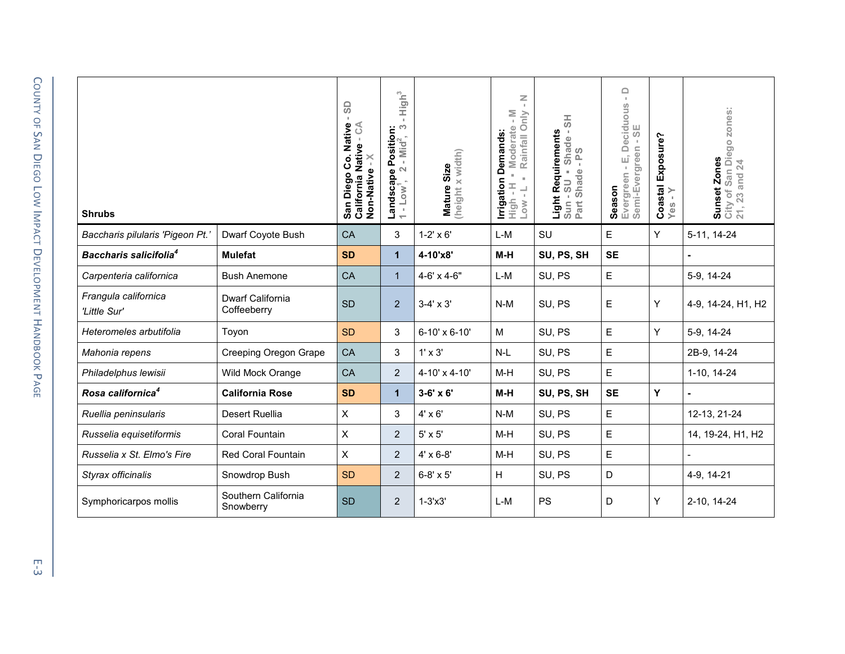| <b>Shrubs</b>                        |                                  | <u>င</u> ္တ<br>Co. Native<br>Native - CA<br>San Diego Co. Nat<br>California Native -<br>Non-Native - X | High <sup>3</sup><br>$\mathbf{I}$<br>$\infty$<br>Landscape Position:<br>1 - Low <sup>1</sup> ,   2 - Mid <sup>2</sup> ,  3 | height x width)<br>Mature Size | z<br>$\mathbb{R}^2$<br>Σ<br>Rainfall Only<br>$\mathbb{R}^2$<br><b>Moderate</b><br><b>Irrigation Demands:</b><br>$\bar{\phantom{a}}$<br>$\alpha$<br>High - H<br>$\overline{\phantom{0}}$<br>Low | $\frac{1}{5}$<br>Light Requirements<br>Sun - SU = Shade - S<br>Part Shade - PS | ≏<br>$\mathbb{R}^2$<br>Deciduous<br>3n - SE<br>Season<br>Evergreen - E, De<br>Semi-Evergreen - | Exposure?<br>$\text{Coastall}$<br>Yes - Y<br>Yes | Sunset Zones<br>City of San Diego zones:<br>21, 23 and 24 |
|--------------------------------------|----------------------------------|--------------------------------------------------------------------------------------------------------|----------------------------------------------------------------------------------------------------------------------------|--------------------------------|------------------------------------------------------------------------------------------------------------------------------------------------------------------------------------------------|--------------------------------------------------------------------------------|------------------------------------------------------------------------------------------------|--------------------------------------------------|-----------------------------------------------------------|
| Baccharis pilularis 'Pigeon Pt.'     | Dwarf Coyote Bush                | CA                                                                                                     | 3                                                                                                                          | $1-2' \times 6'$               | L-M                                                                                                                                                                                            | SU                                                                             | E                                                                                              | Y                                                | 5-11, 14-24                                               |
| Baccharis salicifolia <sup>4</sup>   | <b>Mulefat</b>                   | <b>SD</b>                                                                                              | $\mathbf 1$                                                                                                                | 4-10'x8'                       | $M-H$                                                                                                                                                                                          | SU, PS, SH                                                                     | <b>SE</b>                                                                                      |                                                  | $\blacksquare$                                            |
| Carpenteria californica              | <b>Bush Anemone</b>              | CA                                                                                                     | $\mathbf 1$                                                                                                                | 4-6' x 4-6"                    | L-M                                                                                                                                                                                            | SU, PS                                                                         | E                                                                                              |                                                  | 5-9, 14-24                                                |
| Frangula californica<br>'Little Sur' | Dwarf California<br>Coffeeberry  | <b>SD</b>                                                                                              | 2                                                                                                                          | $3-4' \times 3'$               | $N-M$                                                                                                                                                                                          | SU, PS                                                                         | E                                                                                              | Υ                                                | 4-9, 14-24, H1, H2                                        |
| Heteromeles arbutifolia              | Toyon                            | <b>SD</b>                                                                                              | 3                                                                                                                          | 6-10' x 6-10'                  | M                                                                                                                                                                                              | SU, PS                                                                         | E                                                                                              | Y                                                | 5-9, 14-24                                                |
| Mahonia repens                       | Creeping Oregon Grape            | CA                                                                                                     | 3                                                                                                                          | $1' \times 3'$                 | N-L                                                                                                                                                                                            | SU, PS                                                                         | E                                                                                              |                                                  | 2B-9, 14-24                                               |
| Philadelphus lewisii                 | Wild Mock Orange                 | CA                                                                                                     | $\overline{2}$                                                                                                             | 4-10' x 4-10'                  | $M-H$                                                                                                                                                                                          | SU, PS                                                                         | E                                                                                              |                                                  | 1-10, 14-24                                               |
| Rosa californica <sup>4</sup>        | <b>California Rose</b>           | <b>SD</b>                                                                                              | $\mathbf{1}$                                                                                                               | $3-6' \times 6'$               | $M-H$                                                                                                                                                                                          | SU, PS, SH                                                                     | <b>SE</b>                                                                                      | Y                                                |                                                           |
| Ruellia peninsularis                 | Desert Ruellia                   | $\mathsf{X}$                                                                                           | 3                                                                                                                          | $4' \times 6'$                 | $N-M$                                                                                                                                                                                          | SU, PS                                                                         | E                                                                                              |                                                  | 12-13, 21-24                                              |
| Russelia equisetiformis              | Coral Fountain                   | $\mathsf{X}$                                                                                           | $\overline{2}$                                                                                                             | $5' \times 5'$                 | $M-H$                                                                                                                                                                                          | SU, PS                                                                         | E                                                                                              |                                                  | 14, 19-24, H1, H2                                         |
| Russelia x St. Elmo's Fire           | <b>Red Coral Fountain</b>        | $\mathsf{X}$                                                                                           | 2                                                                                                                          | $4' \times 6 - 8'$             | M-H                                                                                                                                                                                            | SU, PS                                                                         | E                                                                                              |                                                  | $\blacksquare$                                            |
| Styrax officinalis                   | Snowdrop Bush                    | <b>SD</b>                                                                                              | $\overline{2}$                                                                                                             | $6 - 8' \times 5'$             | н                                                                                                                                                                                              | SU, PS                                                                         | $\mathsf D$                                                                                    |                                                  | 4-9, 14-21                                                |
| Symphoricarpos mollis                | Southern California<br>Snowberry | <b>SD</b>                                                                                              | 2                                                                                                                          | $1 - 3'x3'$                    | $L-M$                                                                                                                                                                                          | PS                                                                             | D                                                                                              | Y                                                | 2-10, 14-24                                               |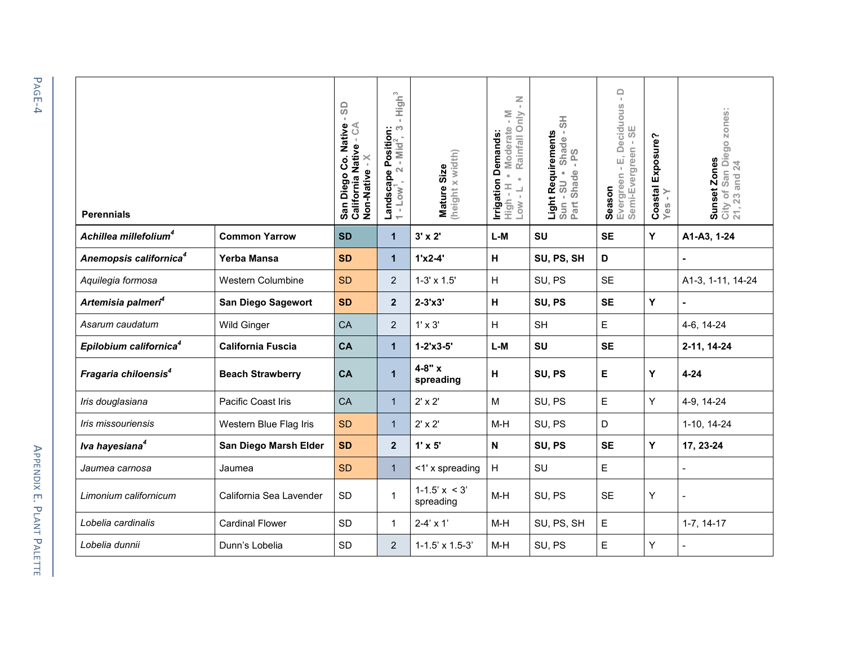| <b>Perennials</b>                  |                           | င္တ<br><b>Native</b><br>$-$ CA<br>San Diego من<br>  California Native -<br>  V<br>Non-Native - X | High <sup>3</sup><br>$\mathbf{r}$<br>S<br>Landscape Position:<br>$-Mid2$ ,<br>$\sim$<br>$\bar{\phantom{a}}$<br>$1 - Low'$ | height x width)<br>Mature Size | z<br>$\mathbb{R}^2$<br>$\geq$<br>Only<br>- Moderate<br><b>Irrigation Demands:</b><br>Rainfall<br>High - H<br>$\mathrel{\sqcup}$<br>$\bar{1}$<br>MOT | $\frac{1}{5}$<br>Shade - <b>:</b><br>- PS<br>Light Requirements<br>Sun - SU = Shade - S<br>Part Shade - PS | $\frac{1}{\sqrt{2}}$<br>Deciduous<br>$\mathbb{S}^{\mathbb{L}}$<br>$\mathbb{I}$<br>Season<br>Evergreen - E, De<br>Semi-Evergreen - | Exposure?<br>Coastal<br>Yes - Y | of San Diego zones:<br>Sunset Zones<br>and 24<br>City of<br>21, 23 a |
|------------------------------------|---------------------------|--------------------------------------------------------------------------------------------------|---------------------------------------------------------------------------------------------------------------------------|--------------------------------|-----------------------------------------------------------------------------------------------------------------------------------------------------|------------------------------------------------------------------------------------------------------------|-----------------------------------------------------------------------------------------------------------------------------------|---------------------------------|----------------------------------------------------------------------|
| Achillea millefolium <sup>4</sup>  | <b>Common Yarrow</b>      | <b>SD</b>                                                                                        | $\mathbf{1}$                                                                                                              | $3' \times 2'$                 | $L-M$                                                                                                                                               | SU                                                                                                         | <b>SE</b>                                                                                                                         | Y                               | A1-A3, 1-24                                                          |
| Anemopsis californica <sup>4</sup> | Yerba Mansa               | <b>SD</b>                                                                                        | $\mathbf{1}$                                                                                                              | $1'x2-4'$                      | H                                                                                                                                                   | SU, PS, SH                                                                                                 | D                                                                                                                                 |                                 |                                                                      |
| Aquilegia formosa                  | Western Columbine         | <b>SD</b>                                                                                        | $\overline{2}$                                                                                                            | $1-3' \times 1.5'$             | H                                                                                                                                                   | SU, PS                                                                                                     | <b>SE</b>                                                                                                                         |                                 | A1-3, 1-11, 14-24                                                    |
| Artemisia palmeri <sup>4</sup>     | <b>San Diego Sagewort</b> | <b>SD</b>                                                                                        | $\overline{2}$                                                                                                            | $2 - 3'x3'$                    | Н                                                                                                                                                   | SU, PS                                                                                                     | <b>SE</b>                                                                                                                         | Y                               |                                                                      |
| Asarum caudatum                    | Wild Ginger               | CA                                                                                               | 2                                                                                                                         | $1' \times 3'$                 | H                                                                                                                                                   | <b>SH</b>                                                                                                  | $\mathsf E$                                                                                                                       |                                 | 4-6, 14-24                                                           |
| Epilobium californica <sup>4</sup> | <b>California Fuscia</b>  | CA                                                                                               | $\mathbf{1}$                                                                                                              | $1 - 2'x3 - 5'$                | $L-M$                                                                                                                                               | SU                                                                                                         | <b>SE</b>                                                                                                                         |                                 | 2-11, 14-24                                                          |
| Fragaria chiloensis <sup>4</sup>   | <b>Beach Strawberry</b>   | <b>CA</b>                                                                                        | $\mathbf{1}$                                                                                                              | 4-8" x<br>spreading            | н                                                                                                                                                   | SU, PS                                                                                                     | E                                                                                                                                 | Υ                               | $4 - 24$                                                             |
| Iris douglasiana                   | Pacific Coast Iris        | CA                                                                                               | $\mathbf{1}$                                                                                                              | $2' \times 2'$                 | M                                                                                                                                                   | SU, PS                                                                                                     | $\mathsf E$                                                                                                                       | Y                               | 4-9, 14-24                                                           |
| Iris missouriensis                 | Western Blue Flag Iris    | <b>SD</b>                                                                                        | $\mathbf{1}$                                                                                                              | $2' \times 2'$                 | $M-H$                                                                                                                                               | SU, PS                                                                                                     | D                                                                                                                                 |                                 | 1-10, 14-24                                                          |
| Iva hayesiana <sup>4</sup>         | San Diego Marsh Elder     | <b>SD</b>                                                                                        | $\overline{2}$                                                                                                            | $1' \times 5'$                 | N                                                                                                                                                   | SU, PS                                                                                                     | <b>SE</b>                                                                                                                         | Y                               | 17, 23-24                                                            |
| Jaumea carnosa                     | Jaumea                    | <b>SD</b>                                                                                        | $\mathbf{1}$                                                                                                              | <1' x spreading                | H                                                                                                                                                   | SU                                                                                                         | $\mathsf E$                                                                                                                       |                                 |                                                                      |
| Limonium californicum              | California Sea Lavender   | <b>SD</b>                                                                                        | $\mathbf{1}$                                                                                                              | $1 - 1.5' x < 3'$<br>spreading | $M-H$                                                                                                                                               | SU, PS                                                                                                     | <b>SE</b>                                                                                                                         | Υ                               |                                                                      |
| Lobelia cardinalis                 | <b>Cardinal Flower</b>    | <b>SD</b>                                                                                        | $\mathbf{1}$                                                                                                              | $2-4' \times 1'$               | $M-H$                                                                                                                                               | SU, PS, SH                                                                                                 | $\mathsf E$                                                                                                                       |                                 | $1-7, 14-17$                                                         |
| Lobelia dunnii                     | Dunn's Lobelia            | <b>SD</b>                                                                                        | $\overline{2}$                                                                                                            | $1-1.5$ ' x $1.5-3$ '          | M-H                                                                                                                                                 | SU, PS                                                                                                     | $\mathsf E$                                                                                                                       | Y                               |                                                                      |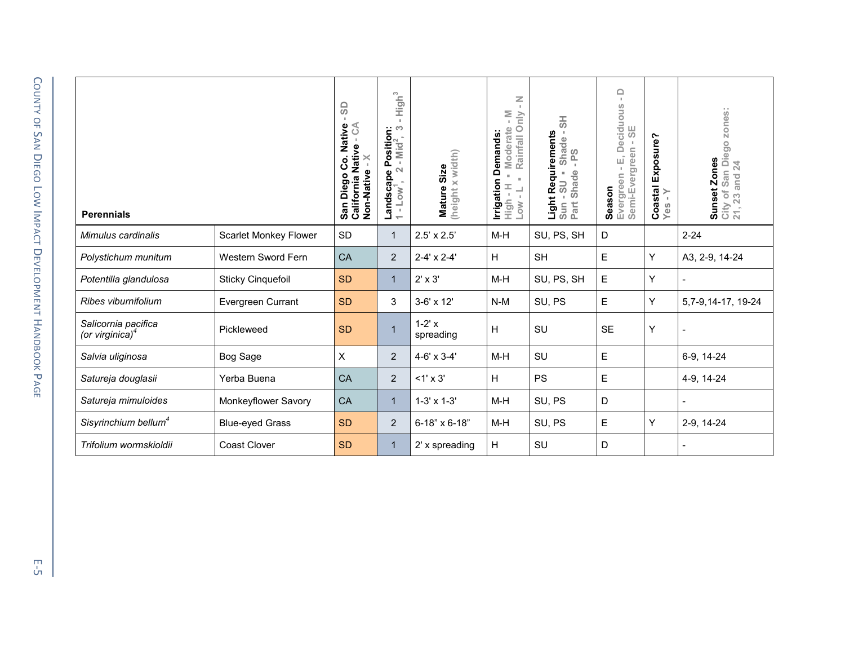| <b>Perennials</b>                         |                          | င္တ<br>Native<br>ve - CA<br>San Diego Co. Na<br>California Native<br>$\mathbf{X}_{-}$<br>Non-Native | High <sup>3</sup><br>S<br>Landscape Position:<br>1 - Low <sup>1</sup> , 2 - Mid <sup>2</sup> , 3<br>$-Mid2$ , | (height x width)<br>Mature Size | z<br>×.<br>$\geq$<br>$\frac{>}{\Box}$<br>$\circ$<br>Moderate<br>Demands:<br>Rainfall<br>$\alpha$<br>Irrigation<br>$\mathbf{u}$<br>Ŧ<br>┙<br>High<br>Low | $\frac{1}{5}$<br>Light Requirements<br>Sun - SU = Shade - S<br>Part Shade - PS | $\Box$<br>$\mathbf{r}$<br>Deciduous<br>$\frac{\Box}{\odot}$<br>Π.<br>Season<br>Evergreen - E, De<br>Semi-Evergreen - | Exposure?<br>$\frac{1}{\sqrt{5}}$ | San Diego zones:<br><b>Sunset Zones</b><br>City of San Die<br>21, 23 and 24 |
|-------------------------------------------|--------------------------|-----------------------------------------------------------------------------------------------------|---------------------------------------------------------------------------------------------------------------|---------------------------------|---------------------------------------------------------------------------------------------------------------------------------------------------------|--------------------------------------------------------------------------------|----------------------------------------------------------------------------------------------------------------------|-----------------------------------|-----------------------------------------------------------------------------|
| Mimulus cardinalis                        | Scarlet Monkey Flower    | <b>SD</b>                                                                                           | 1                                                                                                             | $2.5' \times 2.5'$              | $M-H$                                                                                                                                                   | SU, PS, SH                                                                     | D                                                                                                                    |                                   | $2 - 24$                                                                    |
| Polystichum munitum                       | Western Sword Fern       | CA                                                                                                  | $\overline{2}$                                                                                                | 2-4' x 2-4'                     | H                                                                                                                                                       | <b>SH</b>                                                                      | E                                                                                                                    | Y                                 | A3, 2-9, 14-24                                                              |
| Potentilla glandulosa                     | <b>Sticky Cinquefoil</b> | <b>SD</b>                                                                                           | 1                                                                                                             | $2' \times 3'$                  | $M-H$                                                                                                                                                   | SU, PS, SH                                                                     | $\mathsf E$                                                                                                          | Υ                                 |                                                                             |
| Ribes viburnifolium                       | Evergreen Currant        | <b>SD</b>                                                                                           | 3                                                                                                             | 3-6' x 12'                      | $N-M$                                                                                                                                                   | SU, PS                                                                         | E                                                                                                                    | Y                                 | 5,7-9,14-17, 19-24                                                          |
| Salicornia pacifica<br>(or virginica) $4$ | Pickleweed               | <b>SD</b>                                                                                           | $\overline{1}$                                                                                                | $1-2'x$<br>spreading            | H                                                                                                                                                       | SU                                                                             | <b>SE</b>                                                                                                            | Υ                                 |                                                                             |
| Salvia uliginosa                          | Bog Sage                 | $\mathsf{X}$                                                                                        | 2                                                                                                             | 4-6' x 3-4'                     | $M-H$                                                                                                                                                   | SU                                                                             | E                                                                                                                    |                                   | 6-9, 14-24                                                                  |
| Satureja douglasii                        | Yerba Buena              | CA                                                                                                  | 2                                                                                                             | $<1'$ x 3'                      | H                                                                                                                                                       | <b>PS</b>                                                                      | E                                                                                                                    |                                   | 4-9, 14-24                                                                  |
| Satureja mimuloides                       | Monkeyflower Savory      | CA                                                                                                  | 1                                                                                                             | $1-3' \times 1-3'$              | $M-H$                                                                                                                                                   | SU, PS                                                                         | D                                                                                                                    |                                   |                                                                             |
| Sisyrinchium bellum <sup>4</sup>          | <b>Blue-eyed Grass</b>   | <b>SD</b>                                                                                           | $\overline{2}$                                                                                                | 6-18" x 6-18"                   | $M-H$                                                                                                                                                   | SU, PS                                                                         | E                                                                                                                    | Υ                                 | 2-9, 14-24                                                                  |
| Trifolium wormskioldii                    | <b>Coast Clover</b>      | <b>SD</b>                                                                                           | $\mathbf{1}$                                                                                                  | 2' x spreading                  | H                                                                                                                                                       | SU                                                                             | D                                                                                                                    |                                   |                                                                             |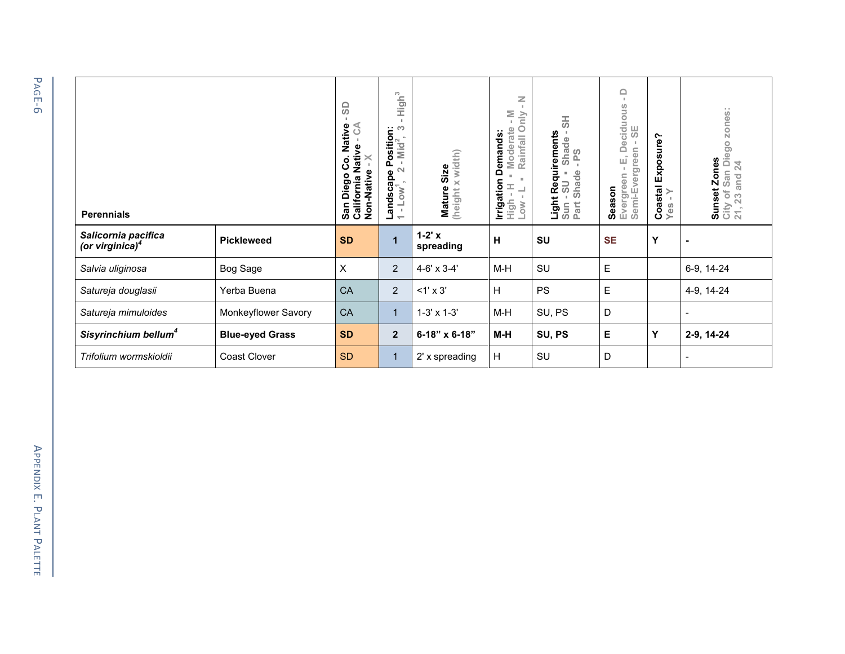| <b>Perennials</b>                                  |                        | င္တ<br>$\mathcal{E}$<br>Native<br>San Diego Co. Na<br>California Native<br>$\boldsymbol{\times}$<br>ပိ<br>Non-Native<br>Diego | High <sup>3</sup><br>Landscape Position:<br>1 - Low <sup>1</sup> , 2 - Mid <sup>2</sup> , 3<br>Mid <sup>2</sup><br>$\overline{\phantom{m}}$ | x width)<br>size<br><b>Mature</b><br>(height) | z<br>$\ge$<br>$\geq$<br>$\circ$<br>Moderate<br>Demands:<br>Rainfall<br>٠<br>Irrigation<br>Ŧ<br>ᆜ<br>High<br>Low | $\frac{1}{5}$<br>quirements<br>Shade<br>- PS<br>Shade<br>٠<br>$\frac{1}{3}$<br>Light Re<br>Sun <sup>-</sup><br>Part | $\Box$<br>×<br><b>Deciduous</b><br>₩<br>$\subseteq$<br>Season<br>Evergreen - E, D<br>Semi-Evergreen | Exposure?<br>$\frac{1}{2}$ Coastal | San Diego zones:<br>Zones<br>24<br>and<br><b>Sunset 2</b><br>City of s |
|----------------------------------------------------|------------------------|-------------------------------------------------------------------------------------------------------------------------------|---------------------------------------------------------------------------------------------------------------------------------------------|-----------------------------------------------|-----------------------------------------------------------------------------------------------------------------|---------------------------------------------------------------------------------------------------------------------|-----------------------------------------------------------------------------------------------------|------------------------------------|------------------------------------------------------------------------|
| Salicornia pacifica<br>(or virginica) <sup>4</sup> | <b>Pickleweed</b>      | <b>SD</b>                                                                                                                     | $\mathbf{1}$                                                                                                                                | $1-2'x$<br>spreading                          | H                                                                                                               | <b>SU</b>                                                                                                           | <b>SE</b>                                                                                           | Υ                                  | $\blacksquare$                                                         |
| Salvia uliginosa                                   | Bog Sage               | X                                                                                                                             | $\overline{2}$                                                                                                                              | 4-6' x 3-4'                                   | $M-H$                                                                                                           | SU                                                                                                                  | Ε                                                                                                   |                                    | 6-9, 14-24                                                             |
| Satureja douglasii                                 | Yerba Buena            | CA                                                                                                                            | 2                                                                                                                                           | $<1'$ x 3'                                    | H                                                                                                               | <b>PS</b>                                                                                                           | Ε                                                                                                   |                                    | 4-9, 14-24                                                             |
| Satureja mimuloides                                | Monkeyflower Savory    | CA                                                                                                                            | $\mathbf{1}$                                                                                                                                | $1-3' \times 1-3'$                            | $M-H$                                                                                                           | SU, PS                                                                                                              | D                                                                                                   |                                    | $\blacksquare$                                                         |
| Sisyrinchium bellum <sup>4</sup>                   | <b>Blue-eyed Grass</b> | <b>SD</b>                                                                                                                     | $\boldsymbol{2}$                                                                                                                            | 6-18" x 6-18"                                 | M-H                                                                                                             | SU, PS                                                                                                              | Е                                                                                                   | Y                                  | 2-9, 14-24                                                             |
| Trifolium wormskioldii                             | Coast Clover           | <b>SD</b>                                                                                                                     | $\mathbf{1}$                                                                                                                                | 2' x spreading                                | H                                                                                                               | <b>SU</b>                                                                                                           | D                                                                                                   |                                    | $\overline{\phantom{a}}$                                               |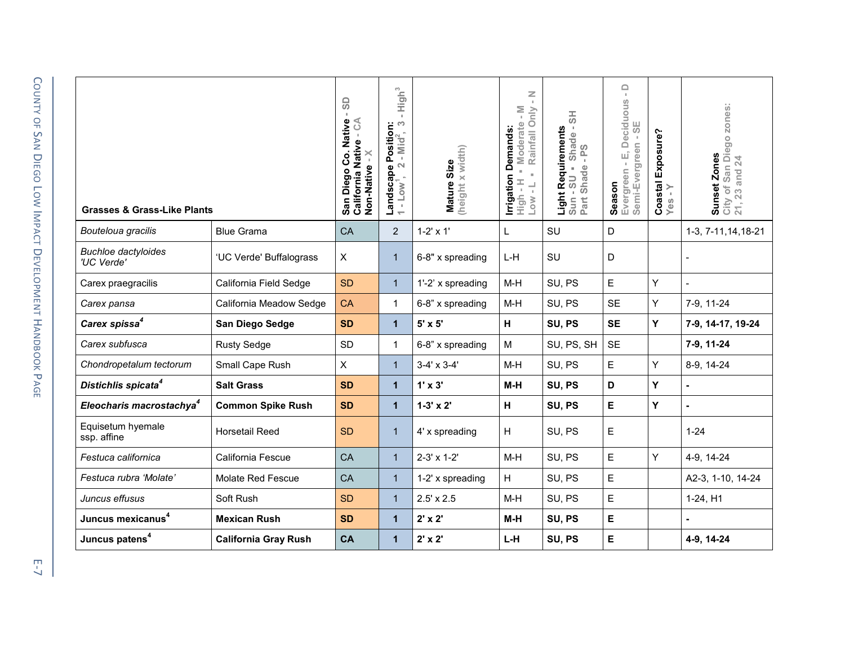| <b>Grasses &amp; Grass-Like Plants</b>   |                             | ဌ<br><b>Co. Native -<br/>Native - CA</b><br>San Diego Co. Nat<br>California Native -<br>Non-Native - X | High <sup>3</sup><br>$\infty$<br>Position:<br>$2 - Mild2$ ,<br>Landscape<br>$-Low1$ ,<br>$\overline{\phantom{a}}$ | Mature Size<br>(height x width) | Z<br>$\mathbf{r}$<br>Rainfall Only<br>$\ge$<br>Moderate<br>Irrigation Demands:<br>$\bar{\alpha}$<br>à.<br>High - H<br>$\frac{1}{1}$<br>Low. | 풊<br>Light Requirements<br>Sun - SU = Shade - S<br>Part Shade - PS | $\qquad \qquad \Box$<br>$\mathbb{R}^n$<br>Deciduous<br><sup>3n -</sup> SE<br>Season<br>Evergreen - E, De<br>Semi-Evergreen - | Exposure?<br>stal<br>$\mathbf{r}$<br>$\cos \theta$ | Sunset Zones<br>City of San Diego zones:<br>21, 23 and 24 |
|------------------------------------------|-----------------------------|--------------------------------------------------------------------------------------------------------|-------------------------------------------------------------------------------------------------------------------|---------------------------------|---------------------------------------------------------------------------------------------------------------------------------------------|--------------------------------------------------------------------|------------------------------------------------------------------------------------------------------------------------------|----------------------------------------------------|-----------------------------------------------------------|
| Bouteloua gracilis                       | <b>Blue Grama</b>           | CA                                                                                                     | 2                                                                                                                 | $1-2' \times 1'$                | L                                                                                                                                           | SU                                                                 | D                                                                                                                            |                                                    | 1-3, 7-11, 14, 18-21                                      |
| <b>Buchloe dactyloides</b><br>'UC Verde' | 'UC Verde' Buffalograss     | $\pmb{\times}$                                                                                         | $\mathbf{1}$                                                                                                      | 6-8" x spreading                | L-H                                                                                                                                         | SU                                                                 | D                                                                                                                            |                                                    |                                                           |
| Carex praegracilis                       | California Field Sedge      | <b>SD</b>                                                                                              | $\overline{1}$                                                                                                    | 1'-2' x spreading               | $M-H$                                                                                                                                       | SU, PS                                                             | E                                                                                                                            | Υ                                                  | $\overline{a}$                                            |
| Carex pansa                              | California Meadow Sedge     | CA                                                                                                     | $\mathbf{1}$                                                                                                      | 6-8" x spreading                | $M-H$                                                                                                                                       | SU, PS                                                             | <b>SE</b>                                                                                                                    | Y                                                  | 7-9, 11-24                                                |
| Carex spissa <sup>4</sup>                | San Diego Sedge             | <b>SD</b>                                                                                              | $\mathbf{1}$                                                                                                      | $5' \times 5'$                  | H                                                                                                                                           | SU, PS                                                             | <b>SE</b>                                                                                                                    | Y                                                  | 7-9, 14-17, 19-24                                         |
| Carex subfusca                           | <b>Rusty Sedge</b>          | <b>SD</b>                                                                                              | $\mathbf{1}$                                                                                                      | 6-8" x spreading                | M                                                                                                                                           | SU, PS, SH                                                         | <b>SE</b>                                                                                                                    |                                                    | 7-9, 11-24                                                |
| Chondropetalum tectorum                  | Small Cape Rush             | $\pmb{\times}$                                                                                         | $\overline{1}$                                                                                                    | $3-4' \times 3-4'$              | $M-H$                                                                                                                                       | SU, PS                                                             | E                                                                                                                            | Y                                                  | 8-9, 14-24                                                |
| Distichlis spicata <sup>4</sup>          | <b>Salt Grass</b>           | <b>SD</b>                                                                                              | $\mathbf{1}$                                                                                                      | $1' \times 3'$                  | $M-H$                                                                                                                                       | SU, PS                                                             | D                                                                                                                            | Υ                                                  | $\overline{a}$                                            |
| Eleocharis macrostachya <sup>4</sup>     | <b>Common Spike Rush</b>    | <b>SD</b>                                                                                              | $\mathbf{1}$                                                                                                      | $1-3' \times 2'$                | н                                                                                                                                           | SU, PS                                                             | E                                                                                                                            | Y                                                  | $\overline{a}$                                            |
| Equisetum hyemale<br>ssp. affine         | <b>Horsetail Reed</b>       | <b>SD</b>                                                                                              | $\overline{1}$                                                                                                    | 4' x spreading                  | H                                                                                                                                           | SU, PS                                                             | E                                                                                                                            |                                                    | $1 - 24$                                                  |
| Festuca californica                      | California Fescue           | CA                                                                                                     | $\overline{1}$                                                                                                    | $2-3' \times 1-2'$              | $M-H$                                                                                                                                       | SU, PS                                                             | E                                                                                                                            | Υ                                                  | 4-9, 14-24                                                |
| Festuca rubra 'Molate'                   | Molate Red Fescue           | CA                                                                                                     | $\mathbf{1}$                                                                                                      | 1-2' x spreading                | H                                                                                                                                           | SU, PS                                                             | E                                                                                                                            |                                                    | A2-3, 1-10, 14-24                                         |
| Juncus effusus                           | Soft Rush                   | <b>SD</b>                                                                                              | $\mathbf{1}$                                                                                                      | $2.5' \times 2.5$               | $M-H$                                                                                                                                       | SU, PS                                                             | E                                                                                                                            |                                                    | $1-24, H1$                                                |
| Juncus mexicanus <sup>4</sup>            | <b>Mexican Rush</b>         | <b>SD</b>                                                                                              | $\mathbf{1}$                                                                                                      | $2' \times 2'$                  | $M-H$                                                                                                                                       | SU, PS                                                             | E                                                                                                                            |                                                    |                                                           |
| Juncus patens <sup>4</sup>               | <b>California Gray Rush</b> | CA                                                                                                     | $\mathbf{1}$                                                                                                      | $2' \times 2'$                  | L-H                                                                                                                                         | SU, PS                                                             | E                                                                                                                            |                                                    | 4-9, 14-24                                                |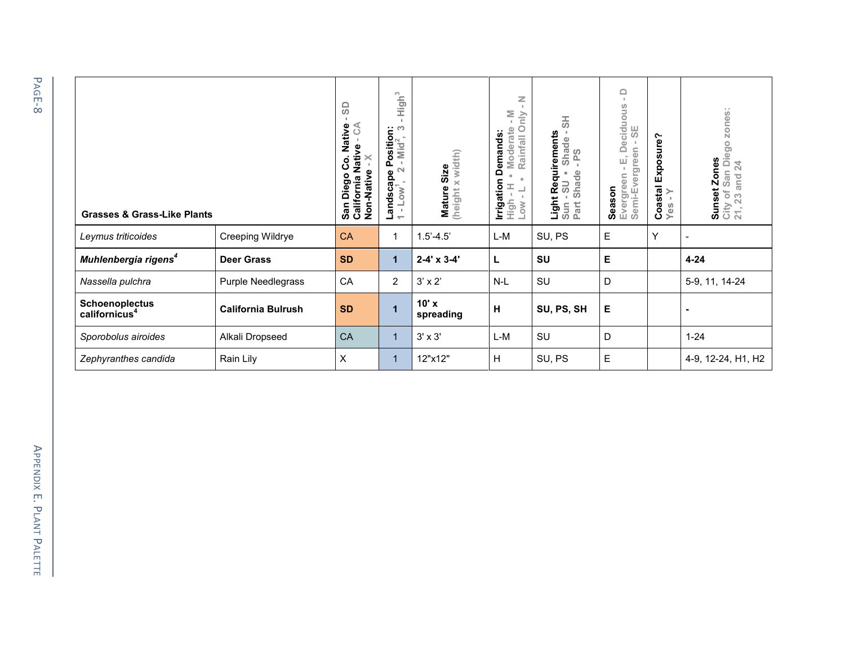| <b>Grasses &amp; Grass-Like Plants</b>             |                           | <u>ဌ</u><br>Native<br>S<br>$\mathbb{R}^2$<br>San Diego Co. Nat<br>California Native -<br>Non-Native - X | High <sup>3</sup><br>S<br>Position:<br>$\sim$<br>$Mid2$ ,<br>×.<br>$\sim$<br>Landscape $1  \lfloor$ ow $\rfloor$ , 2 | x width)<br>Mature Size<br>(height) | $\geq$<br>$\geq$<br>Only<br>Moderate<br>Demands:<br>Rainfall<br>٠<br>Irrigation<br>Ŧ<br>$\overline{\phantom{0}}$<br>High<br>Low | $\frac{1}{5}$<br>Requirements<br>Shade<br>- PS<br>Shade<br>٠<br>$\frac{1}{3}$<br>Light  <br>J.<br>Sun<br>Part | ≏<br><b>Deciduous</b><br>9⊟<br>$\mathbb{R}^2$<br>Evergreen - E, De<br>Semi-Evergreen -<br>Season | Exposure?<br>$\frac{1}{\sqrt{65 - \gamma}}$ | Diego zones:<br>Sunset Zones<br>City of San Die<br>21, 23 and 24 |
|----------------------------------------------------|---------------------------|---------------------------------------------------------------------------------------------------------|----------------------------------------------------------------------------------------------------------------------|-------------------------------------|---------------------------------------------------------------------------------------------------------------------------------|---------------------------------------------------------------------------------------------------------------|--------------------------------------------------------------------------------------------------|---------------------------------------------|------------------------------------------------------------------|
| Leymus triticoides                                 | Creeping Wildrye          | CA                                                                                                      | 1                                                                                                                    | $1.5' - 4.5'$                       | L-M                                                                                                                             | SU, PS                                                                                                        | E                                                                                                | Y                                           |                                                                  |
| Muhlenbergia rigens <sup>4</sup>                   | <b>Deer Grass</b>         | <b>SD</b>                                                                                               | $\mathbf{1}$                                                                                                         | $2-4' \times 3-4'$                  | L                                                                                                                               | SU                                                                                                            | Е                                                                                                |                                             | $4 - 24$                                                         |
| Nassella pulchra                                   | Purple Needlegrass        | CA                                                                                                      | $\overline{2}$                                                                                                       | $3' \times 2'$                      | $N-L$                                                                                                                           | SU                                                                                                            | D                                                                                                |                                             | 5-9, 11, 14-24                                                   |
| <b>Schoenoplectus</b><br>californicus <sup>4</sup> | <b>California Bulrush</b> | <b>SD</b>                                                                                               | $\overline{1}$                                                                                                       | 10'x<br>spreading                   | н                                                                                                                               | SU, PS, SH                                                                                                    | E                                                                                                |                                             | $\blacksquare$                                                   |
| Sporobolus airoides                                | Alkali Dropseed           | CA                                                                                                      | 1                                                                                                                    | $3' \times 3'$                      | L-M                                                                                                                             | SU                                                                                                            | D                                                                                                |                                             | $1 - 24$                                                         |
| Zephyranthes candida                               | Rain Lily                 | $\times$                                                                                                | 1                                                                                                                    | 12"x12"                             | H                                                                                                                               | SU, PS                                                                                                        | Ε                                                                                                |                                             | 4-9, 12-24, H1, H2                                               |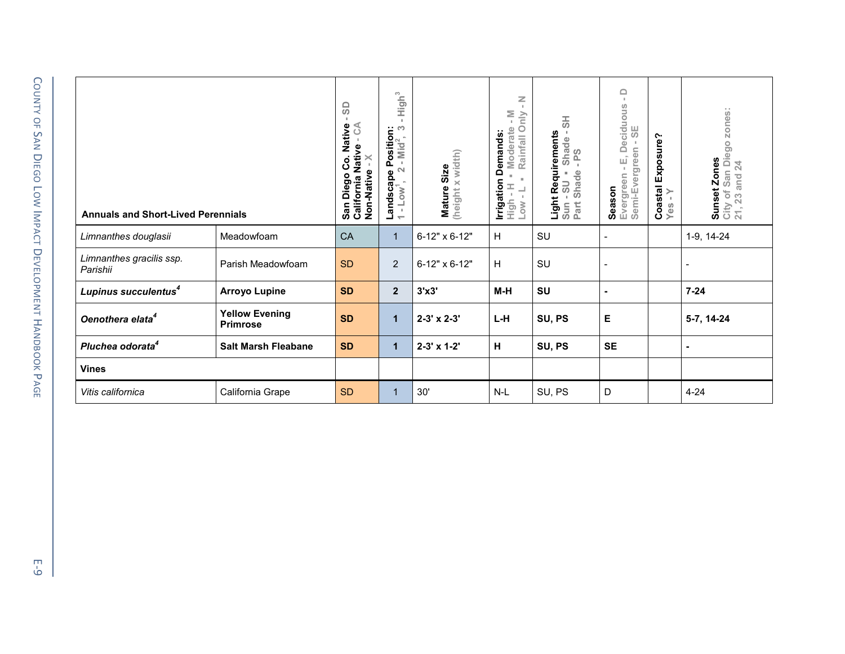| <b>Annuals and Short-Lived Perennials</b> |                                          | <u>ဌ</u><br>$\mathcal{L}$<br>Native<br>$\mathbf{r}$<br>San Diego Co. Na<br>California Native<br>$\times$<br>Non-Native | High <sup>3</sup><br>$\infty$<br>Position:<br>$-Mid2$ ,<br>$\sim$<br>Landscape<br>×<br>Low <sup>1</sup><br>$\mathbb{R}^2$<br>$\overline{\phantom{0}}$ | (height x width)<br>Mature Size | z<br>$\mathbb{R}^2$<br>Σ<br>Only<br>$\pm$<br>Moderate<br><b>Irrigation Demands:</b><br>Rainfall<br>×<br>$\bar{\alpha}$<br>H<br>┙<br>$\pm$<br>$\mathbb{R}^n$<br>High<br>Low | $\frac{1}{5}$<br>Light Requirements<br>Sun - SU = Shade - S<br>Part Shade - PS | $\Box$<br>J.<br>Deciduous<br><sub>201</sub> - SE<br>Evergreen - E, De<br>Semi-Evergreen -<br>Season | Coastal Exposure?<br><sup>Yes - Y</sup> | San Diego zones:<br>Sunset Zones<br>23 and 24<br>$\overline{\mathrm{o}}$<br>City<br>21, 2 |
|-------------------------------------------|------------------------------------------|------------------------------------------------------------------------------------------------------------------------|-------------------------------------------------------------------------------------------------------------------------------------------------------|---------------------------------|----------------------------------------------------------------------------------------------------------------------------------------------------------------------------|--------------------------------------------------------------------------------|-----------------------------------------------------------------------------------------------------|-----------------------------------------|-------------------------------------------------------------------------------------------|
| Limnanthes douglasii                      | Meadowfoam                               | CA                                                                                                                     | $\overline{1}$                                                                                                                                        | 6-12" x 6-12"                   | H                                                                                                                                                                          | SU                                                                             |                                                                                                     |                                         | 1-9, 14-24                                                                                |
| Limnanthes gracilis ssp.<br>Parishii      | Parish Meadowfoam                        | <b>SD</b>                                                                                                              | $\overline{2}$                                                                                                                                        | 6-12" x 6-12"                   | H                                                                                                                                                                          | SU                                                                             |                                                                                                     |                                         | $\overline{\phantom{a}}$                                                                  |
| Lupinus succulentus <sup>4</sup>          | <b>Arroyo Lupine</b>                     | <b>SD</b>                                                                                                              | $\mathbf{2}$                                                                                                                                          | 3'x3'                           | M-H                                                                                                                                                                        | <b>SU</b>                                                                      |                                                                                                     |                                         | $7 - 24$                                                                                  |
| Oenothera elata <sup>4</sup>              | <b>Yellow Evening</b><br><b>Primrose</b> | <b>SD</b>                                                                                                              | $\mathbf{1}$                                                                                                                                          | $2-3' \times 2-3'$              | L-H                                                                                                                                                                        | SU, PS                                                                         | Е                                                                                                   |                                         | 5-7, 14-24                                                                                |
| Pluchea odorata <sup>4</sup>              | <b>Salt Marsh Fleabane</b>               | <b>SD</b>                                                                                                              | $\mathbf{1}$                                                                                                                                          | $2-3' \times 1-2'$              | н                                                                                                                                                                          | SU, PS                                                                         | <b>SE</b>                                                                                           |                                         | $\blacksquare$                                                                            |
| <b>Vines</b>                              |                                          |                                                                                                                        |                                                                                                                                                       |                                 |                                                                                                                                                                            |                                                                                |                                                                                                     |                                         |                                                                                           |
| Vitis californica                         | California Grape                         | <b>SD</b>                                                                                                              | $\mathbf{1}$                                                                                                                                          | 30'                             | N-L                                                                                                                                                                        | SU, PS                                                                         | D                                                                                                   |                                         | $4 - 24$                                                                                  |

 $\overline{\phantom{a}}$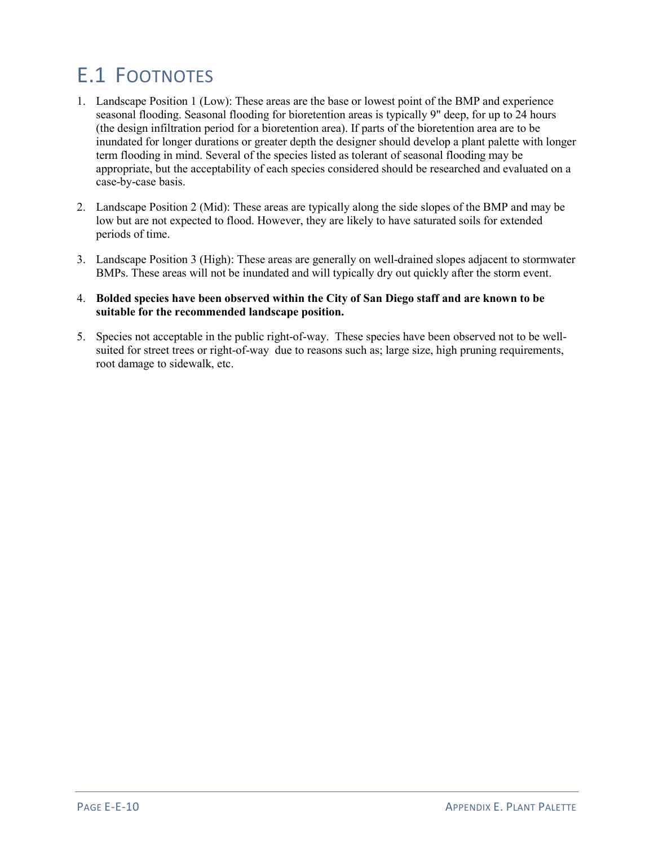## E.1 FOOTNOTES

- 1. Landscape Position 1 (Low): These areas are the base or lowest point of the BMP and experience seasonal flooding. Seasonal flooding for bioretention areas is typically 9" deep, for up to 24 hours (the design infiltration period for a bioretention area). If parts of the bioretention area are to be inundated for longer durations or greater depth the designer should develop a plant palette with longer term flooding in mind. Several of the species listed as tolerant of seasonal flooding may be appropriate, but the acceptability of each species considered should be researched and evaluated on a case-by-case basis.
- 2. Landscape Position 2 (Mid): These areas are typically along the side slopes of the BMP and may be low but are not expected to flood. However, they are likely to have saturated soils for extended periods of time.
- 3. Landscape Position 3 (High): These areas are generally on well-drained slopes adjacent to stormwater BMPs. These areas will not be inundated and will typically dry out quickly after the storm event.
- 4. **Bolded species have been observed within the City of San Diego staff and are known to be suitable for the recommended landscape position.**
- 5. Species not acceptable in the public right-of-way. These species have been observed not to be wellsuited for street trees or right-of-way due to reasons such as; large size, high pruning requirements, root damage to sidewalk, etc.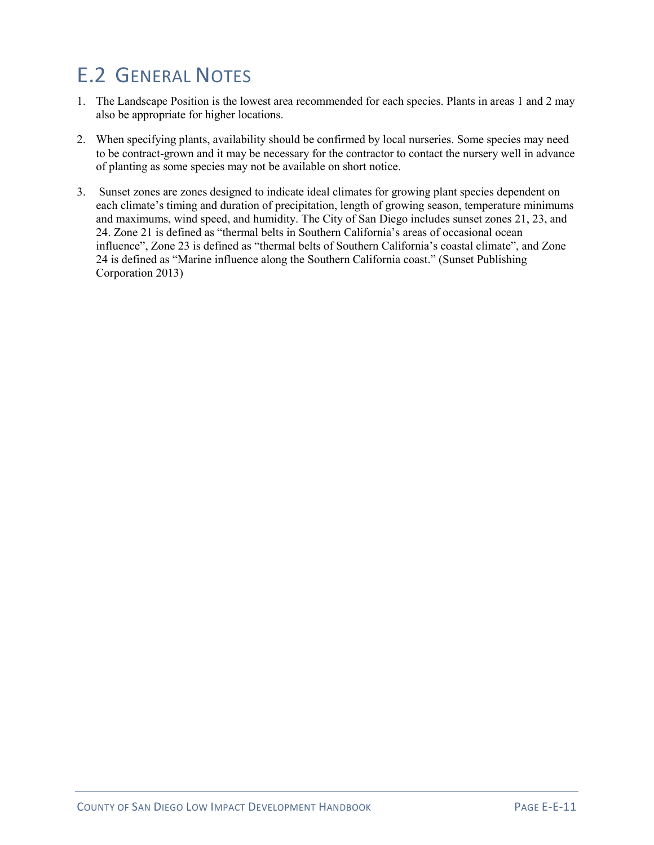## E.2 GENERAL NOTES

- 1. The Landscape Position is the lowest area recommended for each species. Plants in areas 1 and 2 may also be appropriate for higher locations.
- 2. When specifying plants, availability should be confirmed by local nurseries. Some species may need to be contract-grown and it may be necessary for the contractor to contact the nursery well in advance of planting as some species may not be available on short notice.
- 3. Sunset zones are zones designed to indicate ideal climates for growing plant species dependent on each climate's timing and duration of precipitation, length of growing season, temperature minimums and maximums, wind speed, and humidity. The City of San Diego includes sunset zones 21, 23, and 24. Zone 21 is defined as "thermal belts in Southern California's areas of occasional ocean influence", Zone 23 is defined as "thermal belts of Southern California's coastal climate", and Zone 24 is defined as "Marine influence along the Southern California coast." (Sunset Publishing Corporation 2013)